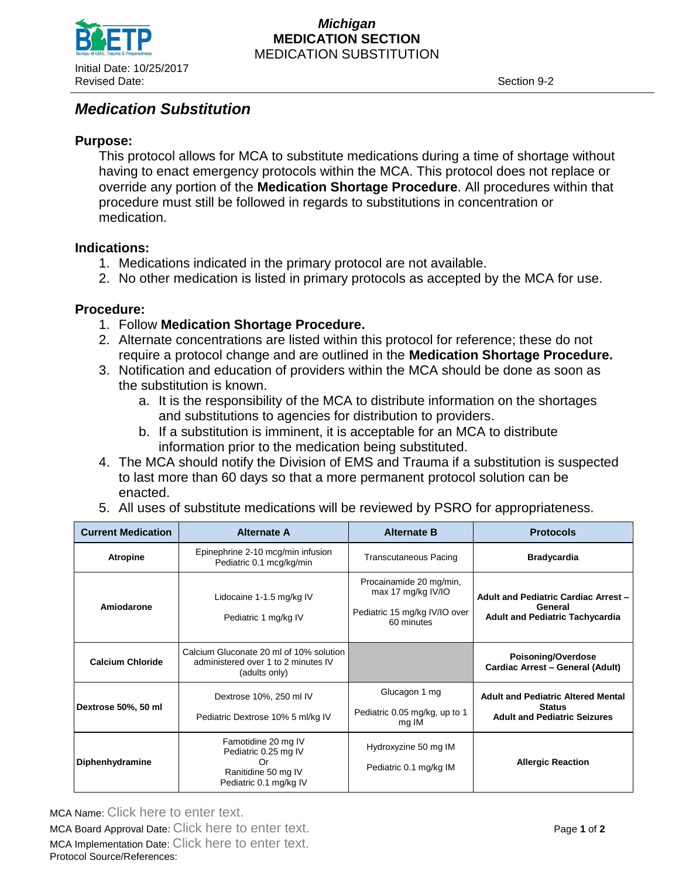

#### *Michigan* **MEDICATION SECTION** MEDICATION SUBSTITUTION

# *Medication Substitution*

# **Purpose:**

This protocol allows for MCA to substitute medications during a time of shortage without having to enact emergency protocols within the MCA. This protocol does not replace or override any portion of the **Medication Shortage Procedure**. All procedures within that procedure must still be followed in regards to substitutions in concentration or medication.

## **Indications:**

- 1. Medications indicated in the primary protocol are not available.
- 2. No other medication is listed in primary protocols as accepted by the MCA for use.

### **Procedure:**

- 1. Follow **Medication Shortage Procedure.**
- 2. Alternate concentrations are listed within this protocol for reference; these do not require a protocol change and are outlined in the **Medication Shortage Procedure.**
- 3. Notification and education of providers within the MCA should be done as soon as the substitution is known.
	- a. It is the responsibility of the MCA to distribute information on the shortages and substitutions to agencies for distribution to providers.
	- b. If a substitution is imminent, it is acceptable for an MCA to distribute information prior to the medication being substituted.
- 4. The MCA should notify the Division of EMS and Trauma if a substitution is suspected to last more than 60 days so that a more permanent protocol solution can be enacted.
- 5. All uses of substitute medications will be reviewed by PSRO for appropriateness.

| <b>Current Medication</b> | <b>Alternate A</b>                                                                                 | <b>Alternate B</b>                                                                            | <b>Protocols</b>                                                                                  |
|---------------------------|----------------------------------------------------------------------------------------------------|-----------------------------------------------------------------------------------------------|---------------------------------------------------------------------------------------------------|
| <b>Atropine</b>           | Epinephrine 2-10 mcg/min infusion<br>Pediatric 0.1 mcg/kg/min                                      | <b>Transcutaneous Pacing</b>                                                                  | <b>Bradycardia</b>                                                                                |
| Amiodarone                | Lidocaine 1-1.5 mg/kg IV<br>Pediatric 1 mg/kg IV                                                   | Procainamide 20 mg/min,<br>max 17 mg/kg $V/IO$<br>Pediatric 15 mg/kg IV/IO over<br>60 minutes | <b>Adult and Pediatric Cardiac Arrest -</b><br>General<br><b>Adult and Pediatric Tachycardia</b>  |
| <b>Calcium Chloride</b>   | Calcium Gluconate 20 ml of 10% solution<br>administered over 1 to 2 minutes IV<br>(adults only)    |                                                                                               | Poisoning/Overdose<br>Cardiac Arrest - General (Adult)                                            |
| Dextrose 50%, 50 ml       | Dextrose 10%, 250 ml IV<br>Pediatric Dextrose 10% 5 ml/kg IV                                       | Glucagon 1 mg<br>Pediatric 0.05 mg/kg, up to 1<br>mg IM                                       | <b>Adult and Pediatric Altered Mental</b><br><b>Status</b><br><b>Adult and Pediatric Seizures</b> |
| Diphenhydramine           | Famotidine 20 mg IV<br>Pediatric 0.25 mg IV<br>Or<br>Ranitidine 50 mg IV<br>Pediatric 0.1 mg/kg IV | Hydroxyzine 50 mg IM<br>Pediatric 0.1 mg/kg IM                                                | <b>Allergic Reaction</b>                                                                          |